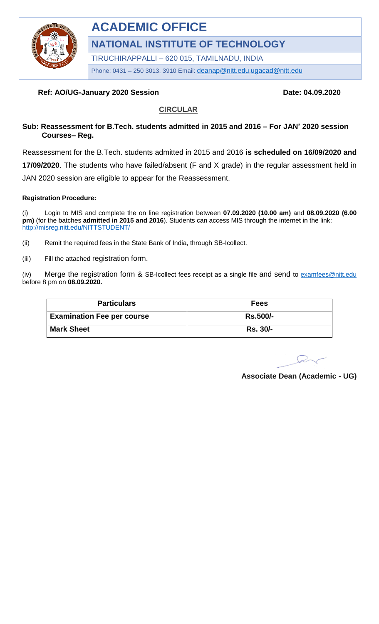

# **ACADEMIC OFFICE**

**NATIONAL INSTITUTE OF TECHNOLOGY**

TIRUCHIRAPPALLI – 620 015, TAMILNADU, INDIA

Phone: 0431 - 250 3013, 3910 Email: [deanap@nitt.edu](mailto:deanap@nitt.edu),[ugacad@nitt.edu](mailto:ugacad@nitt.edu)

## **Ref: AO/UG-January 2020 Session Date: 04.09.2020** Date: 04.09.2020

#### **CIRCULAR**

#### **Sub: Reassessment for B.Tech. students admitted in 2015 and 2016 – For JAN' 2020 session Courses– Reg.**

Reassessment for the B.Tech. students admitted in 2015 and 2016 **is scheduled on 16/09/2020 and 17/09/2020**. The students who have failed/absent (F and X grade) in the regular assessment held in JAN 2020 session are eligible to appear for the Reassessment.

#### **Registration Procedure:**

(i) Login to MIS and complete the on line registration between **07.09.2020 (10.00 am)** and **08.09.2020 (6.00 pm)** (for the batches **admitted in 2015 and 2016**). Students can access MIS through the internet in the link: <http://misreg.nitt.edu/NITTSTUDENT/>

- (ii) Remit the required fees in the State Bank of India, through SB-Icollect.
- (iii) Fill the attached registration form.

(iv) Merge the registration form  $\&$  SB-Icollect fees receipt as a single file and send to examfees @nitt.edu before 8 pm on **08.09.2020.**

| <b>Particulars</b>                | Fees            |  |  |
|-----------------------------------|-----------------|--|--|
| <b>Examination Fee per course</b> | <b>Rs.500/-</b> |  |  |
| <b>Mark Sheet</b>                 | <b>Rs. 30/-</b> |  |  |

**Associate Dean (Academic - UG)**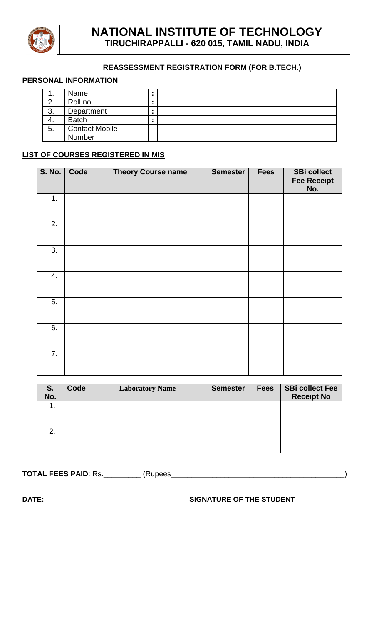

#### **\_\_\_\_\_\_\_\_\_\_\_\_\_\_\_\_\_\_\_\_\_\_\_\_\_\_\_\_\_\_\_\_\_\_\_\_\_\_\_\_\_\_\_\_\_\_\_\_\_\_\_\_\_\_\_\_\_\_\_\_\_\_\_\_\_\_\_\_\_\_\_\_\_\_\_\_\_\_\_\_\_\_\_\_\_\_\_\_\_\_\_\_\_\_\_\_\_\_\_\_\_\_ REASSESSMENT REGISTRATION FORM (FOR B.TECH.)**

#### **PERSONAL INFORMATION**:

| . . | Name                  |  |
|-----|-----------------------|--|
|     | Roll no               |  |
| 3.  | Department            |  |
| 4.  | <b>Batch</b>          |  |
| 5.  | <b>Contact Mobile</b> |  |
|     | Number                |  |

### **LIST OF COURSES REGISTERED IN MIS**

| S. No.           | Code | <b>Theory Course name</b> | <b>Semester</b> | <b>Fees</b> | <b>SBi collect</b><br><b>Fee Receipt</b><br>No. |
|------------------|------|---------------------------|-----------------|-------------|-------------------------------------------------|
| 1.               |      |                           |                 |             |                                                 |
| 2.               |      |                           |                 |             |                                                 |
| 3.               |      |                           |                 |             |                                                 |
| 4.               |      |                           |                 |             |                                                 |
| 5.               |      |                           |                 |             |                                                 |
| 6.               |      |                           |                 |             |                                                 |
| $\overline{7}$ . |      |                           |                 |             |                                                 |

| S.<br>No. | Code | <b>Laboratory Name</b> | <b>Semester</b> | <b>Fees</b> | <b>SBi collect Fee</b><br><b>Receipt No</b> |
|-----------|------|------------------------|-----------------|-------------|---------------------------------------------|
| ι.        |      |                        |                 |             |                                             |
| 2.        |      |                        |                 |             |                                             |

**TOTAL FEES PAID: Rs.\_\_\_\_\_\_\_\_\_\_\_\_\_\_\_\_ (Rupees\_\_** 

#### **DATE: SIGNATURE OF THE STUDENT**